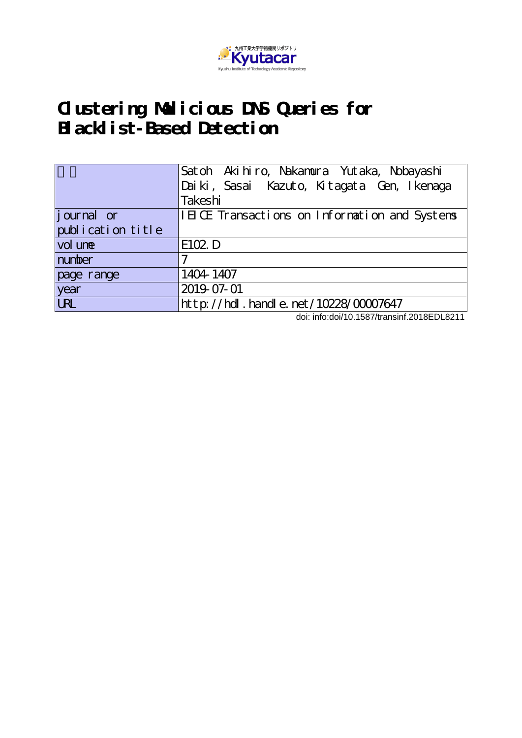

# **Clustering Malicious DNS Queries for Blacklist-Based Detection**

|                   | Satoh Akihiro, Nakamura Yutaka, Nobayashi<br>Daiki, Sasai Kazuto, Kitagata Gen, Ikenaga<br>Takeshi |
|-------------------|----------------------------------------------------------------------------------------------------|
| journal or        | IEICE Transactions on Information and Systems                                                      |
| publication title |                                                                                                    |
| vol une           | E102 D                                                                                             |
| number            |                                                                                                    |
| page range        | 1404-1407                                                                                          |
| year              | 2019-07-01                                                                                         |
| <b>URL</b>        | http://hdl.handle.net/10228/00007647                                                               |

doi: info:doi/10.1587/transinf.2018EDL8211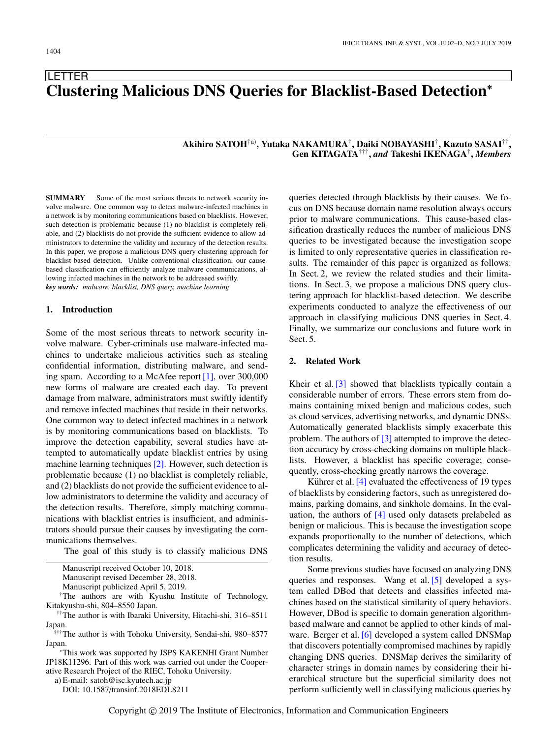# **LETTER Clustering Malicious DNS Queries for Blacklist-Based Detection**<sup>∗</sup>

# **Akihiro SATOH**†a)**, Yutaka NAKAMURA**†**, Daiki NOBAYASHI**†**, Kazuto SASAI**††**, Gen KITAGATA**†††**,** *and* **Takeshi IKENAGA**†**,** *Members*

**SUMMARY** Some of the most serious threats to network security involve malware. One common way to detect malware-infected machines in a network is by monitoring communications based on blacklists. However, such detection is problematic because (1) no blacklist is completely reliable, and (2) blacklists do not provide the sufficient evidence to allow administrators to determine the validity and accuracy of the detection results. In this paper, we propose a malicious DNS query clustering approach for blacklist-based detection. Unlike conventional classification, our causebased classification can efficiently analyze malware communications, allowing infected machines in the network to be addressed swiftly. *key words: malware, blacklist, DNS query, machine learning*

#### **1. Introduction**

Some of the most serious threats to network security involve malware. Cyber-criminals use malware-infected machines to undertake malicious activities such as stealing confidential information, distributing m[alwa](#page-4-0)re, and sending spam. According to a McAfee report [1], over 300,000 new forms of malware are created each day. To prevent damage from malware, administrators must swiftly identify and remove infected machines that reside in their networks. One common way to detect infected machines in a network is by monitoring communications based on blacklists. To improve the detection capability, several studies have attempted to automatically u[pdate](#page-4-1) blacklist entries by using machine learning techniques [2]. However, such detection is problematic because (1) no blacklist is completely reliable, and (2) blacklists do not provide the sufficient evidence to allow administrators to determine the validity and accuracy of the detection results. Therefore, simply matching communications with blacklist entries is insufficient, and administrators should pursue their causes by investigating the communications themselves.

The goal of this study is to classify malicious DNS

Manuscript revised December 28, 2018.

Manuscript publicized April 5, 2019.

†The authors are with Kyushu Institute of Technology, Kitakyushu-shi, 804–8550 Japan.

††The author is with Ibaraki University, Hitachi-shi, 316–8511 Japan.

†††The author is with Tohoku University, Sendai-shi, 980–8577 Japan.

<sup>∗</sup>This work was supported by JSPS KAKENHI Grant Number JP18K11296. Part of this work was carried out under the Cooperative Research Project of the RIEC, Tohoku University.

a) E-mail: satoh@isc.kyutech.ac.jp

DOI: 10.1587/transinf.2018EDL8211

queries detected through blacklists by their causes. We focus on DNS because domain name resolution always occurs prior to malware communications. This cause-based classification drastically reduces the number of malicious DNS queries to be investigated because the investigation scope is limited to only representative queries in classification results. The remainder of this paper is organized as follows: In Sect. 2, we review the related studies and their limitations. In Sect. 3, we propose a malicious DNS query clustering approach for blacklist-based detection. We describe experiments conducted to analyze the effectiveness of our approach in classifying malicious DNS queries in Sect. 4. Finally, we summarize our conclusions and future work in Sect. 5.

#### **2. Related Work**

Kheir et al. [\[3\]](#page-4-2) showed that blacklists typically contain a considerable number of errors. These errors stem from domains containing mixed benign and malicious codes, such as cloud services, advertising networks, and dynamic DNSs. Automatically generate[d bl](#page-4-2)acklists simply exacerbate this problem. The authors of  $\left[3\right]$  attempted to improve the detection accuracy by cross-checking domains on multiple blacklists. However, a blacklist has specific coverage; consequently, cross-ch[eckin](#page-4-3)g greatly narrows the coverage.

Kührer et al.  $[4]$  evaluated the effectiveness of 19 types of blacklists by considering factors, such as unregistered domains, parking domai[ns, a](#page-4-3)nd sinkhole domains. In the evaluation, the authors of  $[4]$  used only datasets prelabeled as benign or malicious. This is because the investigation scope expands proportionally to the number of detections, which complicates determining the validity and accuracy of detection results.

Some previous studies have focu[sed](#page-4-4) on analyzing DNS queries and responses. Wang et al. [5] developed a system called DBod that detects and classifies infected machines based on the statistical similarity of query behaviors. However, DBod is specific to domain generation algorithmbased malware and [can](#page-4-5)not be applied to other kinds of malware. Berger et al. [6] developed a system called DNSMap that discovers potentially compromised machines by rapidly changing DNS queries. DNSMap derives the similarity of character strings in domain names by considering their hierarchical structure but the superficial similarity does not perform sufficiently well in classifying malicious queries by

Manuscript received October 10, 2018.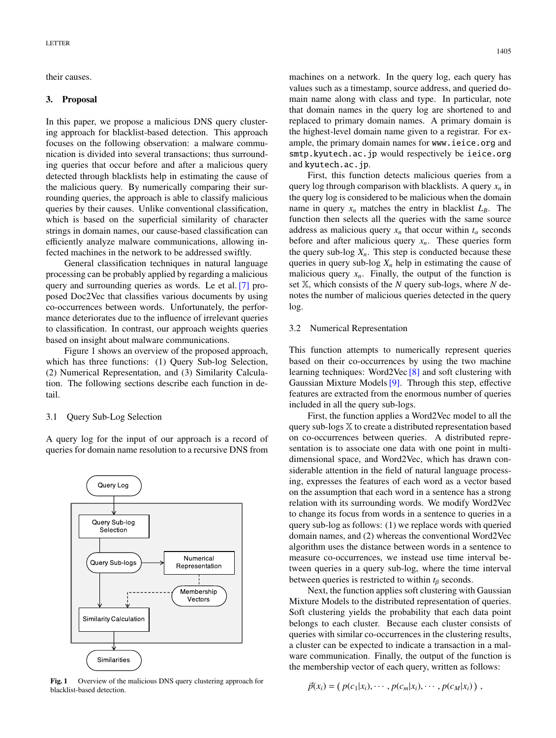their causes.

## **3. Proposal**

In this paper, we propose a malicious DNS query clustering approach for blacklist-based detection. This approach focuses on the following observation: a malware communication is divided into several transactions; thus surrounding queries that occur before and after a malicious query detected through blacklists help in estimating the cause of the malicious query. By numerically comparing their surrounding queries, the approach is able to classify malicious queries by their causes. Unlike conventional classification, which is based on the superficial similarity of character strings in domain names, our cause-based classification can efficiently analyze malware communications, allowing infected machines in the network to be addressed swiftly.

General classification techniques in natural language processing can be probably applied by regarding a [malic](#page-4-6)ious query and surrounding queries as words. Le et al.[7] proposed Doc2Vec that classifies various documents by using co-occurrences between words. Unfortunately, the performance deteriorates due to the influence of irrelevant queries to classification. In contrast, our approach weights queries based on insight about malware communications.

Figure 1 shows an overview of the proposed approach, which has three functions: (1) Ouery Sub-log Selection, (2) Numerical Representation, and (3) Similarity Calculation. The following sections describe each function in detail.

# 3.1 Query Sub-Log Selection

A query log for the input of our approach is a record of queries for domain name resolution to a recursive DNS from



Fig. 1 Overview of the malicious DNS query clustering approach for blacklist-based detection.

machines on a network. In the query log, each query has values such as a timestamp, source address, and queried domain name along with class and type. In particular, note that domain names in the query log are shortened to and replaced to primary domain names. A primary domain is the highest-level domain name given to a registrar. For example, the primary domain names for www.ieice.org and smtp.kyutech.ac.jp would respectively be ieice.org and kyutech.ac.jp.

First, this function detects malicious queries from a query log through comparison with blacklists. A query  $x_n$  in the query log is considered to be malicious when the domain name in query  $x_n$  matches the entry in blacklist  $L_B$ . The function then selects all the queries with the same source address as malicious query  $x_n$  that occur within  $t_\alpha$  seconds before and after malicious query  $x_n$ . These queries form the query sub-log  $X_n$ . This step is conducted because these queries in query sub-log  $X_n$  help in estimating the cause of malicious query  $x_n$ . Finally, the output of the function is set X, which consists of the *N* query sub-logs, where *N* denotes the number of malicious queries detected in the query log.

# 3.2 Numerical Representation

This function attempts to numerically represent queries based on their co-occurrences [by](#page-4-7) using the two machine learning techniques: Wor[d2Ve](#page-4-8)c [8] and soft clustering with Gaussian Mixture Models[9]. Through this step, effective features are extracted from the enormous number of queries included in all the query sub-logs.

First, the function applies a Word2Vec model to all the query sub-logs X to create a distributed representation based on co-occurrences between queries. A distributed representation is to associate one data with one point in multidimensional space, and Word2Vec, which has drawn considerable attention in the field of natural language processing, expresses the features of each word as a vector based on the assumption that each word in a sentence has a strong relation with its surrounding words. We modify Word2Vec to change its focus from words in a sentence to queries in a query sub-log as follows: (1) we replace words with queried domain names, and (2) whereas the conventional Word2Vec algorithm uses the distance between words in a sentence to measure co-occurrences, we instead use time interval between queries in a query sub-log, where the time interval between queries is restricted to within  $t_\beta$  seconds.

Next, the function applies soft clustering with Gaussian Mixture Models to the distributed representation of queries. Soft clustering yields the probability that each data point belongs to each cluster. Because each cluster consists of queries with similar co-occurrences in the clustering results, a cluster can be expected to indicate a transaction in a malware communication. Finally, the output of the function is the membership vector of each query, written as follows:

$$
\vec{p}(x_i) = (p(c_1|x_i), \cdots, p(c_m|x_i), \cdots, p(c_M|x_i)),
$$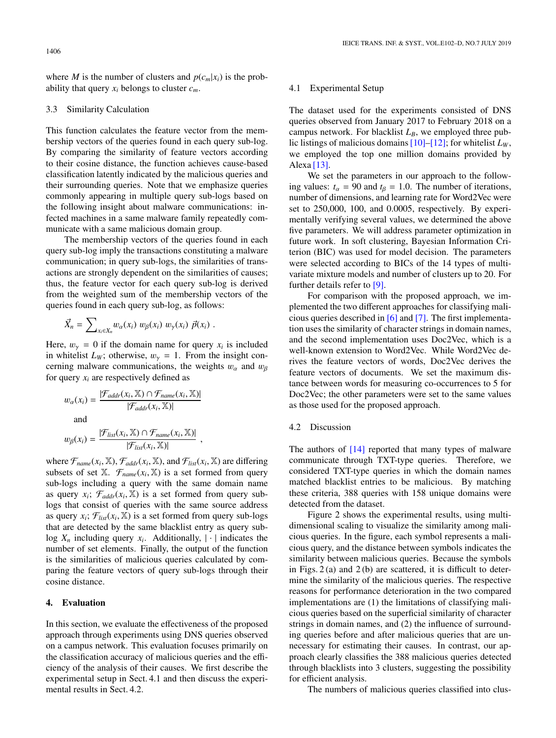where *M* is the number of clusters and  $p(c_m|x_i)$  is the probability that query *xi* belongs to cluster *cm*.

### 3.3 Similarity Calculation

This function calculates the feature vector from the membership vectors of the queries found in each query sub-log. By comparing the similarity of feature vectors according to their cosine distance, the function achieves cause-based classification latently indicated by the malicious queries and their surrounding queries. Note that we emphasize queries commonly appearing in multiple query sub-logs based on the following insight about malware communications: infected machines in a same malware family repeatedly communicate with a same malicious domain group.

The membership vectors of the queries found in each query sub-log imply the transactions constituting a malware communication; in query sub-logs, the similarities of transactions are strongly dependent on the similarities of causes; thus, the feature vector for each query sub-log is derived from the weighted sum of the membership vectors of the queries found in each query sub-log, as follows:

$$
\vec{X}_n = \sum\nolimits_{x_i \in X_n} w_\alpha(x_i) w_\beta(x_i) w_\gamma(x_i) \vec{p}(x_i).
$$

Here,  $w_{\gamma} = 0$  if the domain name for query  $x_i$  is included in whitelist  $L_W$ ; otherwise,  $w_\gamma = 1$ . From the insight concerning malware communications, the weights  $w_\alpha$  and  $w_\beta$ for query  $x_i$  are respectively defined as

$$
w_{\alpha}(x_i) = \frac{|\mathcal{F}_{addr}(x_i, \mathbb{X}) \cap \mathcal{F}_{name}(x_i, \mathbb{X})|}{|\mathcal{F}_{addr}(x_i, \mathbb{X})|}
$$
  
and  

$$
w_{\beta}(x_i) = \frac{|\mathcal{F}_{list}(x_i, \mathbb{X}) \cap \mathcal{F}_{name}(x_i, \mathbb{X})|}{|\mathcal{F}_{list}(x_i, \mathbb{X})|},
$$

where  $\mathcal{F}_{name}(x_i, \mathbb{X}), \mathcal{F}_{addr}(x_i, \mathbb{X})$ , and  $\mathcal{F}_{list}(x_i, \mathbb{X})$  are differing subsets of set  $X$ .  $\mathcal{F}_{name}(x_i, X)$  is a set formed from query sub-logs including a query with the same domain name as query  $x_i$ ;  $\mathcal{F}_{addr}(x_i, \mathbb{X})$  is a set formed from query sublogs that consist of queries with the same source address as query  $x_i$ ;  $\mathcal{F}_{list}(x_i, \mathbb{X})$  is a set formed from query sub-logs that are detected by the same blacklist entry as query sublog  $X_n$  including query  $x_i$ . Additionally,  $|\cdot|$  indicates the number of set elements. Finally, the output of the function is the similarities of malicious queries calculated by comparing the feature vectors of query sub-logs through their cosine distance.

# **4. Evaluation**

In this section, we evaluate the effectiveness of the proposed approach through experiments using DNS queries observed on a campus network. This evaluation focuses primarily on the classification accuracy of malicious queries and the efficiency of the analysis of their causes. We first describe the experimental setup in Sect. 4.1 and then discuss the experimental results in Sect. 4.2.

#### 4.1 Experimental Setup

The dataset used for the experiments consisted of DNS queries observed from January 2017 to February 2018 on a campus network. For blacklist  $L_B$ , w[e emp](#page-4-10)loyed three public listings of malicious domains  $[10]$ – $[12]$ ; for whitelist  $L_W$ , we e[mploy](#page-4-11)ed the top one million domains provided by Alexa  $[13]$ .

We set the parameters in our approach to the following values:  $t_\alpha$  = 90 and  $t_\beta$  = 1.0. The number of iterations, number of dimensions, and learning rate for Word2Vec were set to 250,000, 100, and 0.0005, respectively. By experimentally verifying several values, we determined the above five parameters. We will address parameter optimization in future work. In soft clustering, Bayesian Information Criterion (BIC) was used for model decision. The parameters were selected according to BICs of the 14 types of multivariate mixture model[s an](#page-4-8)d number of clusters up to 20. For further details refer to [9].

For comparison with the proposed approach, we implemented the two differe[nt ap](#page-4-5)pro[ache](#page-4-6)s for classifying malicious queries described in [6] and [7]. The first implementation uses the similarity of character strings in domain names, and the second implementation uses Doc2Vec, which is a well-known extension to Word2Vec. While Word2Vec derives the feature vectors of words, Doc2Vec derives the feature vectors of documents. We set the maximum distance between words for measuring co-occurrences to 5 for Doc2Vec; the other parameters were set to the same values as those used for the proposed approach.

### 4.2 Discussion

The authors of [\[14\]](#page-4-12) reported that many types of malware communicate through TXT-type queries. Therefore, we considered TXT-type queries in which the domain names matched blacklist entries to be malicious. By matching these criteria, 388 queries with 158 unique domains were detected from the dataset.

Figure 2 shows the experimental results, using multidimensional scaling to visualize the similarity among malicious queries. In the figure, each symbol represents a malicious query, and the distance between symbols indicates the similarity between malicious queries. Because the symbols in Figs.  $2(a)$  and  $2(b)$  are scattered, it is difficult to determine the similarity of the malicious queries. The respective reasons for performance deterioration in the two compared implementations are (1) the limitations of classifying malicious queries based on the superficial similarity of character strings in domain names, and (2) the influence of surrounding queries before and after malicious queries that are unnecessary for estimating their causes. In contrast, our approach clearly classifies the 388 malicious queries detected through blacklists into 3 clusters, suggesting the possibility for efficient analysis.

The numbers of malicious queries classified into clus-